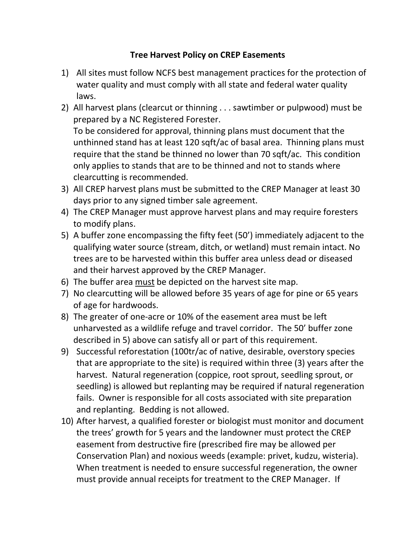## Tree Harvest Policy on CREP Easements

- 1) All sites must follow NCFS best management practices for the protection of water quality and must comply with all state and federal water quality laws.
- 2) All harvest plans (clearcut or thinning . . . sawtimber or pulpwood) must be prepared by a NC Registered Forester. To be considered for approval, thinning plans must document that the unthinned stand has at least 120 sqft/ac of basal area. Thinning plans must require that the stand be thinned no lower than 70 sqft/ac. This condition only applies to stands that are to be thinned and not to stands where clearcutting is recommended.
- 3) All CREP harvest plans must be submitted to the CREP Manager at least 30 days prior to any signed timber sale agreement.
- 4) The CREP Manager must approve harvest plans and may require foresters to modify plans.
- 5) A buffer zone encompassing the fifty feet (50') immediately adjacent to the qualifying water source (stream, ditch, or wetland) must remain intact. No trees are to be harvested within this buffer area unless dead or diseased and their harvest approved by the CREP Manager.
- 6) The buffer area must be depicted on the harvest site map.
- 7) No clearcutting will be allowed before 35 years of age for pine or 65 years of age for hardwoods.
- 8) The greater of one-acre or 10% of the easement area must be left unharvested as a wildlife refuge and travel corridor. The 50' buffer zone described in 5) above can satisfy all or part of this requirement.
- 9) Successful reforestation (100tr/ac of native, desirable, overstory species that are appropriate to the site) is required within three (3) years after the harvest. Natural regeneration (coppice, root sprout, seedling sprout, or seedling) is allowed but replanting may be required if natural regeneration fails. Owner is responsible for all costs associated with site preparation and replanting. Bedding is not allowed.
- 10) After harvest, a qualified forester or biologist must monitor and document the trees' growth for 5 years and the landowner must protect the CREP easement from destructive fire (prescribed fire may be allowed per Conservation Plan) and noxious weeds (example: privet, kudzu, wisteria). When treatment is needed to ensure successful regeneration, the owner must provide annual receipts for treatment to the CREP Manager. If